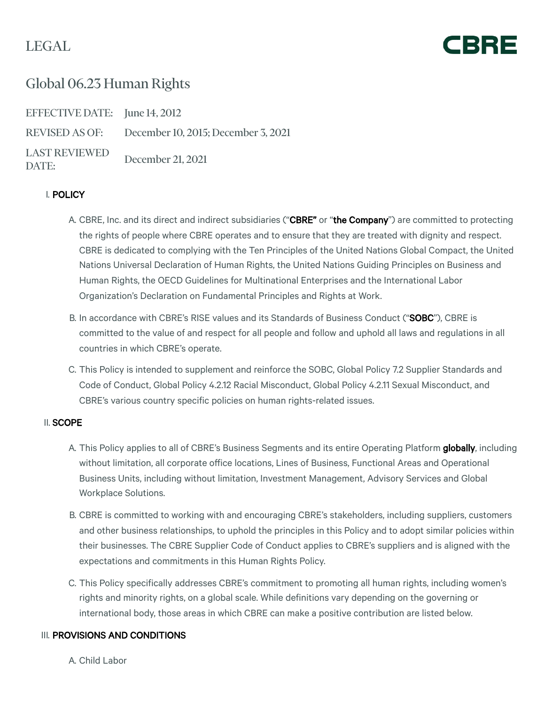LEGAL



# Global 06.23 Human Rights

EFFECTIVE DATE: June 14, 2012 REVISED AS OF: December 10, 2015; December 3, 2021 LAST REVIEWED December 21, 2021<br>DATE:

# I. POLICY

- A. CBRE, Inc. and its direct and indirect subsidiaries ("CBRE" or "the Company") are committed to protecting the rights of people where CBRE operates and to ensure that they are treated with dignity and respect. CBRE is dedicated to complying with the Ten Principles of the United Nations Global Compact, the United Nations Universal Declaration of Human Rights, the United Nations Guiding Principles on Business and Human Rights, the OECD Guidelines for Multinational Enterprises and the International Labor Organization's Declaration on Fundamental Principles and Rights at Work.
- B. In accordance with CBRE's RISE values and its Standards of Business Conduct ("SOBC"), CBRE is committed to the value of and respect for all people and follow and uphold all laws and regulations in all countries in which CBRE's operate.
- C. This Policy is intended to supplement and reinforce the SOBC, Global Policy 7.2 Supplier Standards and Code of Conduct, Global Policy 4.2.12 Racial Misconduct, Global Policy 4.2.11 Sexual Misconduct, and CBRE's various country specific policies on human rights-related issues.

# II. SCOPE

- A. This Policy applies to all of CBRE's Business Segments and its entire Operating Platform globally, including without limitation, all corporate office locations, Lines of Business, Functional Areas and Operational Business Units, including without limitation, Investment Management, Advisory Services and Global Workplace Solutions.
- B. CBRE is committed to working with and encouraging CBRE's stakeholders, including suppliers, customers and other business relationships, to uphold the principles in this Policy and to adopt similar policies within their businesses. The CBRE Supplier Code of Conduct applies to CBRE's suppliers and is aligned with the expectations and commitments in this Human Rights Policy.
- C. This Policy specifically addresses CBRE's commitment to promoting all human rights, including women's rights and minority rights, on a global scale. While definitions vary depending on the governing or international body, those areas in which CBRE can make a positive contribution are listed below.

# III. PROVISIONS AND CONDITIONS

A. Child Labor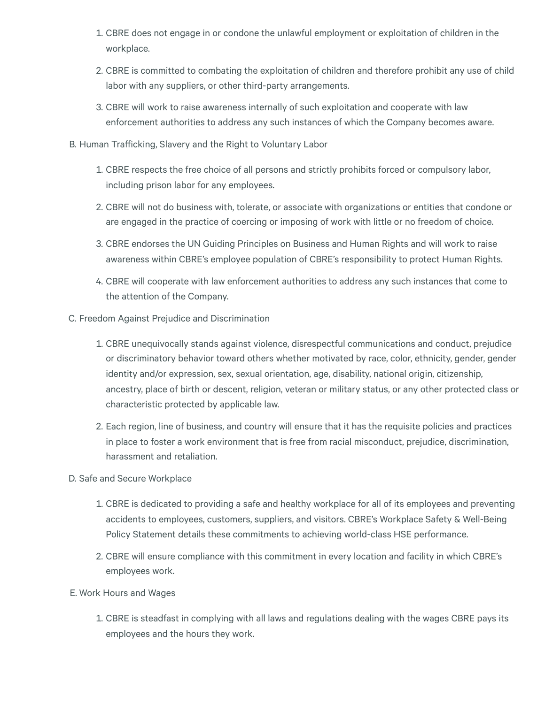- 1. CBRE does not engage in or condone the unlawful employment or exploitation of children in the workplace.
- 2. CBRE is committed to combating the exploitation of children and therefore prohibit any use of child labor with any suppliers, or other third-party arrangements.
- 3. CBRE will work to raise awareness internally of such exploitation and cooperate with law enforcement authorities to address any such instances of which the Company becomes aware.
- B. Human Trafficking, Slavery and the Right to Voluntary Labor
	- 1. CBRE respects the free choice of all persons and strictly prohibits forced or compulsory labor, including prison labor for any employees.
	- 2. CBRE will not do business with, tolerate, or associate with organizations or entities that condone or are engaged in the practice of coercing or imposing of work with little or no freedom of choice.
	- 3. CBRE endorses the UN Guiding Principles on Business and Human Rights and will work to raise awareness within CBRE's employee population of CBRE's responsibility to protect Human Rights.
	- 4. CBRE will cooperate with law enforcement authorities to address any such instances that come to the attention of the Company.
- C. Freedom Against Prejudice and Discrimination
	- 1. CBRE unequivocally stands against violence, disrespectful communications and conduct, prejudice or discriminatory behavior toward others whether motivated by race, color, ethnicity, gender, gender identity and/or expression, sex, sexual orientation, age, disability, national origin, citizenship, ancestry, place of birth or descent, religion, veteran or military status, or any other protected class or characteristic protected by applicable law.
	- 2. Each region, line of business, and country will ensure that it has the requisite policies and practices in place to foster a work environment that is free from racial misconduct, prejudice, discrimination, harassment and retaliation.

# D. Safe and Secure Workplace

- 1. CBRE is dedicated to providing a safe and healthy workplace for all of its employees and preventing accidents to employees, customers, suppliers, and visitors. CBRE's Workplace Safety & Well-Being Policy Statement details these commitments to achieving world-class HSE performance.
- 2. CBRE will ensure compliance with this commitment in every location and facility in which CBRE's employees work.
- E. Work Hours and Wages
	- 1. CBRE is steadfast in complying with all laws and regulations dealing with the wages CBRE pays its employees and the hours they work.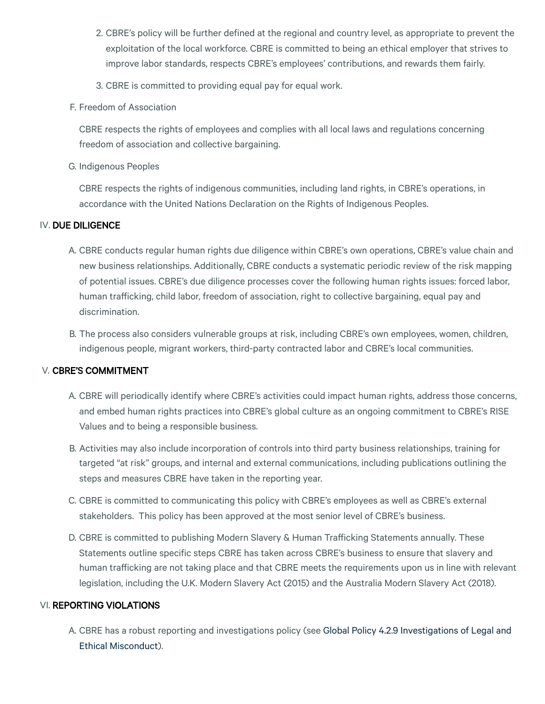- 2. CBRE's policy will be further defined at the regional and country level, as appropriate to prevent the exploitation of the local workforce. CBRE is committed to being an ethical employer that strives to improve labor standards, respects CBRE's employees' contributions, and rewards them fairly.
- 3. CBRE is committed to providing equal pay for equal work.
- F. Freedom of Association

CBRE respects the rights of employees and complies with all local laws and regulations concerning freedom of association and collective bargaining.

G. Indigenous Peoples

CBRE respects the rights of indigenous communities, including land rights, in CBRE's operations, in accordance with the United Nations Declaration on the Rights of Indigenous Peoples.

#### IV. DUE DILIGENCE

- A. CBRE conducts regular human rights due diligence within CBRE's own operations, CBRE's value chain and new business relationships. Additionally, CBRE conducts a systematic periodic review of the risk mapping of potential issues. CBRE's due diligence processes cover the following human rights issues: forced labor, human trafficking, child labor, freedom of association, right to collective bargaining, equal pay and discrimination.
- B. The process also considers vulnerable groups at risk, including CBRE's own employees, women, children, indigenous people, migrant workers, third-party contracted labor and CBRE's local communities.

#### V. CBRE'S COMMITMENT

- A. CBRE will periodically identify where CBRE's activities could impact human rights, address those concerns, and embed human rights practices into CBRE's global culture as an ongoing commitment to CBRE's RISE Values and to being a responsible business.
- B. Activities may also include incorporation of controls into third party business relationships, training for targeted "at risk" groups, and internal and external communications, including publications outlining the steps and measures CBRE have taken in the reporting year.
- C. CBRE is committed to communicating this policy with CBRE's employees as well as CBRE's external stakeholders. This policy has been approved at the most senior level of CBRE's business.
- D. CBRE is committed to publishing Modern Slavery & Human Trafficking Statements annually. These Statements outline specific steps CBRE has taken across CBRE's business to ensure that slavery and human trafficking are not taking place and that CBRE meets the requirements upon us in line with relevant legislation, including the U.K. Modern Slavery Act (2015) and the Australia Modern Slavery Act (2018).

#### VI. REPORTING VIOLATIONS

A. [CBRE has a robust reporting and investigations policy \(see Global Policy 4.2.9 Investigations of Legal and](https://intranet.cbre.com/Sites/Global-Policies/en-US/Documents/Global%20Policies/04.%20Human%20Resources%20and%20Payroll/Global%20-%2004.02.09%20Investigations%20of%20Legal%20and%20Ethical%20Misconduct%20%E2%80%93%20English.pdf?Web=0) Ethical Misconduct).